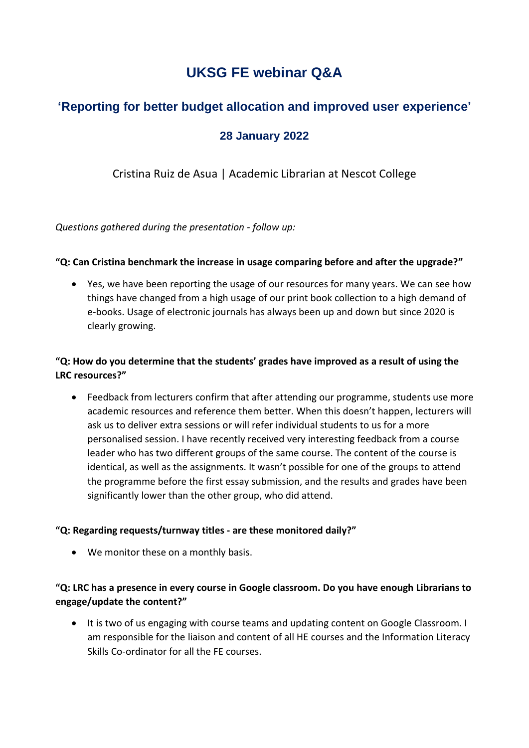# **UKSG FE webinar Q&A**

## **'Reporting for better budget allocation and improved user experience'**

## **28 January 2022**

## Cristina Ruiz de Asua | Academic Librarian at Nescot College

*Questions gathered during the presentation - follow up:*

#### **"Q: Can Cristina benchmark the increase in usage comparing before and after the upgrade?"**

• Yes, we have been reporting the usage of our resources for many years. We can see how things have changed from a high usage of our print book collection to a high demand of e-books. Usage of electronic journals has always been up and down but since 2020 is clearly growing.

## **"Q: How do you determine that the students' grades have improved as a result of using the LRC resources?"**

• Feedback from lecturers confirm that after attending our programme, students use more academic resources and reference them better. When this doesn't happen, lecturers will ask us to deliver extra sessions or will refer individual students to us for a more personalised session. I have recently received very interesting feedback from a course leader who has two different groups of the same course. The content of the course is identical, as well as the assignments. It wasn't possible for one of the groups to attend the programme before the first essay submission, and the results and grades have been significantly lower than the other group, who did attend.

#### **"Q: Regarding requests/turnway titles - are these monitored daily?"**

• We monitor these on a monthly basis.

## **"Q: LRC has a presence in every course in Google classroom. Do you have enough Librarians to engage/update the content?"**

• It is two of us engaging with course teams and updating content on Google Classroom. I am responsible for the liaison and content of all HE courses and the Information Literacy Skills Co-ordinator for all the FE courses.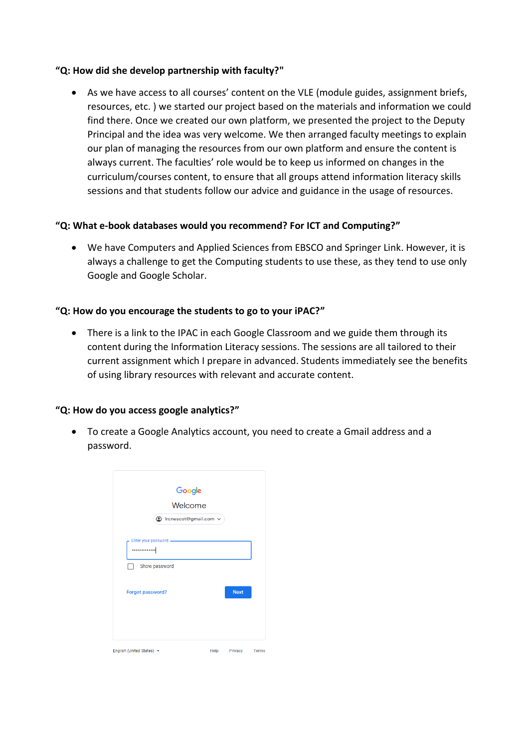#### **"Q: How did she develop partnership with faculty?"**

• As we have access to all courses' content on the VLE (module guides, assignment briefs, resources, etc. ) we started our project based on the materials and information we could find there. Once we created our own platform, we presented the project to the Deputy Principal and the idea was very welcome. We then arranged faculty meetings to explain our plan of managing the resources from our own platform and ensure the content is always current. The faculties' role would be to keep us informed on changes in the curriculum/courses content, to ensure that all groups attend information literacy skills sessions and that students follow our advice and guidance in the usage of resources.

#### **"Q: What e-book databases would you recommend? For ICT and Computing?"**

• We have Computers and Applied Sciences from EBSCO and Springer Link. However, it is always a challenge to get the Computing students to use these, as they tend to use only Google and Google Scholar.

#### **"Q: How do you encourage the students to go to your iPAC?"**

• There is a link to the IPAC in each Google Classroom and we guide them through its content during the Information Literacy sessions. The sessions are all tailored to their current assignment which I prepare in advanced. Students immediately see the benefits of using library resources with relevant and accurate content.

#### **"Q: How do you access google analytics?"**

• To create a Google Analytics account, you need to create a Gmail address and a password.

|                       | Google                  |             |
|-----------------------|-------------------------|-------------|
|                       | <b>Welcome</b>          |             |
|                       | ◎ Ircnescot@gmail.com v |             |
| Enter your password - |                         |             |
|                       |                         |             |
| Show password         |                         |             |
|                       |                         |             |
| Forgot password?      |                         | <b>Next</b> |
|                       |                         |             |
|                       |                         |             |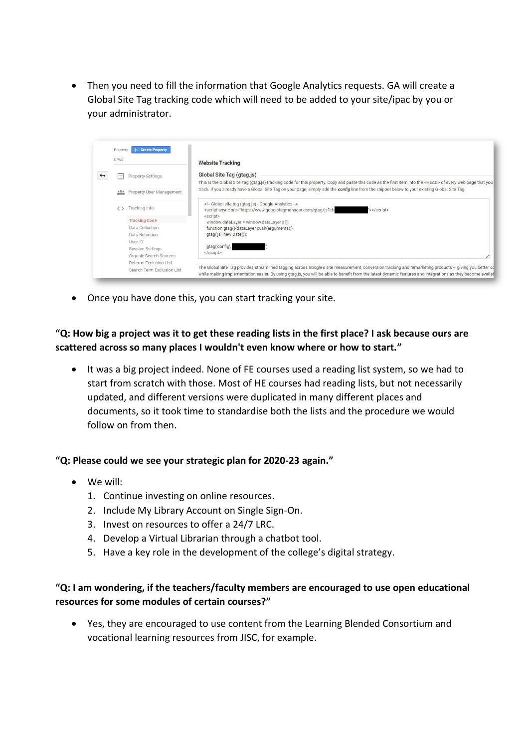• Then you need to fill the information that Google Analytics requests. GA will create a Global Site Tag tracking code which will need to be added to your site/ipac by you or your administrator.



• Once you have done this, you can start tracking your site.

**"Q: How big a project was it to get these reading lists in the first place? I ask because ours are scattered across so many places I wouldn't even know where or how to start."**

• It was a big project indeed. None of FE courses used a reading list system, so we had to start from scratch with those. Most of HE courses had reading lists, but not necessarily updated, and different versions were duplicated in many different places and documents, so it took time to standardise both the lists and the procedure we would follow on from then.

#### **"Q: Please could we see your strategic plan for 2020-23 again."**

- We will:
	- 1. Continue investing on online resources.
	- 2. Include My Library Account on Single Sign-On.
	- 3. Invest on resources to offer a 24/7 LRC.
	- 4. Develop a Virtual Librarian through a chatbot tool.
	- 5. Have a key role in the development of the college's digital strategy.

#### **"Q: I am wondering, if the teachers/faculty members are encouraged to use open educational resources for some modules of certain courses?"**

• Yes, they are encouraged to use content from the Learning Blended Consortium and vocational learning resources from JISC, for example.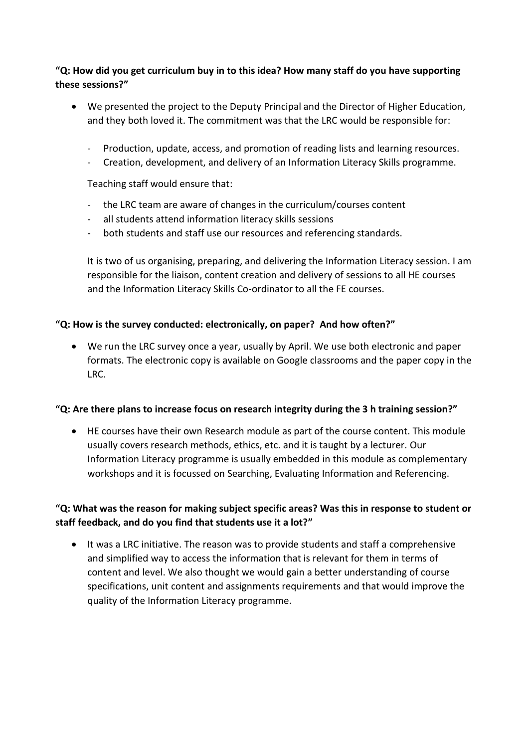### **"Q: How did you get curriculum buy in to this idea? How many staff do you have supporting these sessions?"**

- We presented the project to the Deputy Principal and the Director of Higher Education, and they both loved it. The commitment was that the LRC would be responsible for:
	- Production, update, access, and promotion of reading lists and learning resources.
	- Creation, development, and delivery of an Information Literacy Skills programme.

Teaching staff would ensure that:

- the LRC team are aware of changes in the curriculum/courses content
- all students attend information literacy skills sessions
- both students and staff use our resources and referencing standards.

It is two of us organising, preparing, and delivering the Information Literacy session. I am responsible for the liaison, content creation and delivery of sessions to all HE courses and the Information Literacy Skills Co-ordinator to all the FE courses.

#### **"Q: How is the survey conducted: electronically, on paper? And how often?"**

• We run the LRC survey once a year, usually by April. We use both electronic and paper formats. The electronic copy is available on Google classrooms and the paper copy in the LRC.

#### **"Q: Are there plans to increase focus on research integrity during the 3 h training session?"**

• HE courses have their own Research module as part of the course content. This module usually covers research methods, ethics, etc. and it is taught by a lecturer. Our Information Literacy programme is usually embedded in this module as complementary workshops and it is focussed on Searching, Evaluating Information and Referencing.

#### **"Q: What was the reason for making subject specific areas? Was this in response to student or staff feedback, and do you find that students use it a lot?"**

• It was a LRC initiative. The reason was to provide students and staff a comprehensive and simplified way to access the information that is relevant for them in terms of content and level. We also thought we would gain a better understanding of course specifications, unit content and assignments requirements and that would improve the quality of the Information Literacy programme.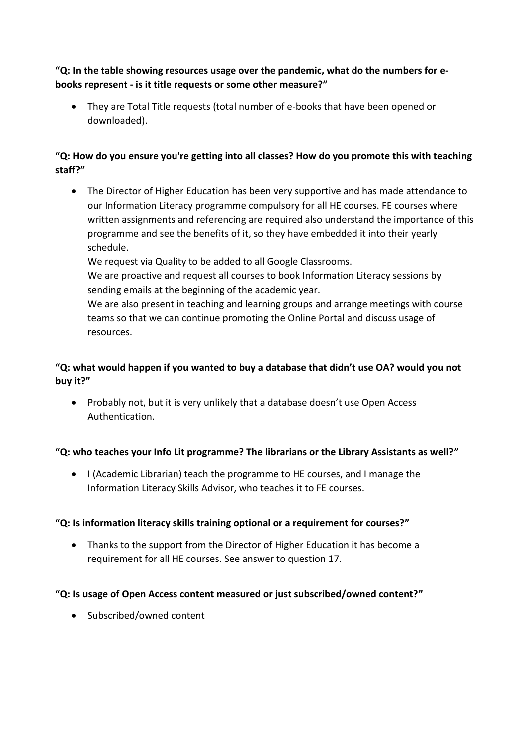**"Q: In the table showing resources usage over the pandemic, what do the numbers for ebooks represent - is it title requests or some other measure?"**

• They are Total Title requests (total number of e-books that have been opened or downloaded).

## **"Q: How do you ensure you're getting into all classes? How do you promote this with teaching staff?"**

• The Director of Higher Education has been very supportive and has made attendance to our Information Literacy programme compulsory for all HE courses. FE courses where written assignments and referencing are required also understand the importance of this programme and see the benefits of it, so they have embedded it into their yearly schedule.

We request via Quality to be added to all Google Classrooms.

We are proactive and request all courses to book Information Literacy sessions by sending emails at the beginning of the academic year.

We are also present in teaching and learning groups and arrange meetings with course teams so that we can continue promoting the Online Portal and discuss usage of resources.

## **"Q: what would happen if you wanted to buy a database that didn't use OA? would you not buy it?"**

• Probably not, but it is very unlikely that a database doesn't use Open Access Authentication.

## **"Q: who teaches your Info Lit programme? The librarians or the Library Assistants as well?"**

• I (Academic Librarian) teach the programme to HE courses, and I manage the Information Literacy Skills Advisor, who teaches it to FE courses.

## **"Q: Is information literacy skills training optional or a requirement for courses?"**

• Thanks to the support from the Director of Higher Education it has become a requirement for all HE courses. See answer to question 17.

## **"Q: Is usage of Open Access content measured or just subscribed/owned content?"**

• Subscribed/owned content